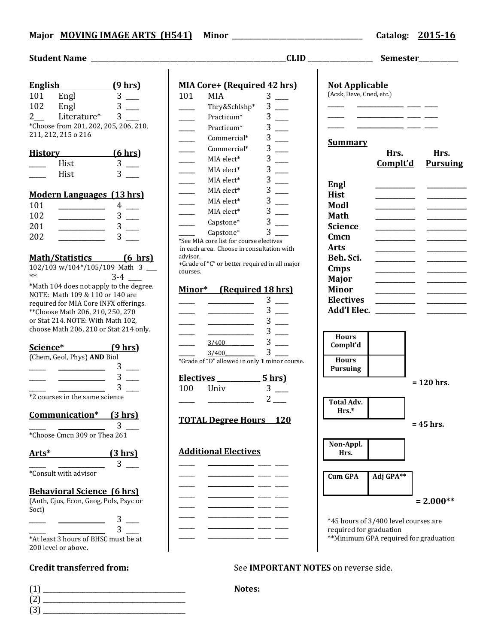### **Major MOVING IMAGE ARTS (H541) Minor** \_\_\_\_\_\_\_\_\_\_\_\_\_\_\_\_\_\_\_\_\_\_\_\_\_\_\_\_\_\_\_\_\_\_\_\_ **Catalog: 2015-16**

|                                                                            | <u>English</u>                                                                                                                                                                                                                                                                                                         | <u>(9 hrs)</u> |  |  |  |
|----------------------------------------------------------------------------|------------------------------------------------------------------------------------------------------------------------------------------------------------------------------------------------------------------------------------------------------------------------------------------------------------------------|----------------|--|--|--|
| 101 Engl                                                                   |                                                                                                                                                                                                                                                                                                                        | 3              |  |  |  |
| 102                                                                        | Engl                                                                                                                                                                                                                                                                                                                   | 3              |  |  |  |
| $2\overline{a}$                                                            | Literature*                                                                                                                                                                                                                                                                                                            | 3              |  |  |  |
|                                                                            | *Choose from 201, 202, 205, 206, 210,                                                                                                                                                                                                                                                                                  |                |  |  |  |
|                                                                            | 211, 212, 215 o 216                                                                                                                                                                                                                                                                                                    |                |  |  |  |
|                                                                            | <b>History</b>                                                                                                                                                                                                                                                                                                         | (6 hrs)        |  |  |  |
|                                                                            | Hist                                                                                                                                                                                                                                                                                                                   | 3              |  |  |  |
|                                                                            | Hist                                                                                                                                                                                                                                                                                                                   | 3              |  |  |  |
|                                                                            |                                                                                                                                                                                                                                                                                                                        |                |  |  |  |
|                                                                            | <b>Modern Languages (13 hrs)</b>                                                                                                                                                                                                                                                                                       |                |  |  |  |
| 101                                                                        |                                                                                                                                                                                                                                                                                                                        | $\overline{4}$ |  |  |  |
| 102                                                                        |                                                                                                                                                                                                                                                                                                                        | $\overline{3}$ |  |  |  |
| 201                                                                        |                                                                                                                                                                                                                                                                                                                        | 3              |  |  |  |
| 202                                                                        |                                                                                                                                                                                                                                                                                                                        | 3              |  |  |  |
|                                                                            |                                                                                                                                                                                                                                                                                                                        |                |  |  |  |
|                                                                            | Math/Statistics (6 hrs)<br>102/103 w/104*/105/109 Math 3                                                                                                                                                                                                                                                               |                |  |  |  |
|                                                                            |                                                                                                                                                                                                                                                                                                                        |                |  |  |  |
|                                                                            | $*$ $\frac{1}{2}$ $\frac{1}{4}$ $\frac{1}{4}$ $\frac{1}{4}$ $\frac{1}{4}$ $\frac{1}{4}$ $\frac{1}{4}$ $\frac{1}{4}$ $\frac{1}{4}$ $\frac{1}{4}$ $\frac{1}{4}$ $\frac{1}{4}$ $\frac{1}{4}$ $\frac{1}{4}$ $\frac{1}{4}$ $\frac{1}{4}$ $\frac{1}{4}$ $\frac{1}{4}$ $\frac{1}{4}$ $\frac{1}{4}$ $\frac{1}{4}$ $\frac{1}{4$ |                |  |  |  |
|                                                                            |                                                                                                                                                                                                                                                                                                                        |                |  |  |  |
|                                                                            | NOTE: Math 109 & 110 or 140 are                                                                                                                                                                                                                                                                                        |                |  |  |  |
| required for MIA Core INFX offerings.<br>** Choose Math 206, 210, 250, 270 |                                                                                                                                                                                                                                                                                                                        |                |  |  |  |
|                                                                            | or Stat 214. NOTE: With Math 102,                                                                                                                                                                                                                                                                                      |                |  |  |  |
|                                                                            | choose Math 206, 210 or Stat 214 only.                                                                                                                                                                                                                                                                                 |                |  |  |  |
|                                                                            |                                                                                                                                                                                                                                                                                                                        |                |  |  |  |
| Science*                                                                   | (9 hrs)                                                                                                                                                                                                                                                                                                                |                |  |  |  |
|                                                                            | (Chem, Geol, Phys) AND Biol                                                                                                                                                                                                                                                                                            |                |  |  |  |
|                                                                            |                                                                                                                                                                                                                                                                                                                        | 3              |  |  |  |
|                                                                            |                                                                                                                                                                                                                                                                                                                        | 3              |  |  |  |
|                                                                            |                                                                                                                                                                                                                                                                                                                        | 3              |  |  |  |
|                                                                            | *2 courses in the same science                                                                                                                                                                                                                                                                                         |                |  |  |  |
| Communication* (3 hrs)                                                     |                                                                                                                                                                                                                                                                                                                        |                |  |  |  |
|                                                                            |                                                                                                                                                                                                                                                                                                                        | 3              |  |  |  |
|                                                                            | *Choose Cmcn 309 or Thea 261                                                                                                                                                                                                                                                                                           |                |  |  |  |
|                                                                            |                                                                                                                                                                                                                                                                                                                        |                |  |  |  |
| Arts*                                                                      |                                                                                                                                                                                                                                                                                                                        | (3 hrs)        |  |  |  |
|                                                                            |                                                                                                                                                                                                                                                                                                                        | 3              |  |  |  |
|                                                                            | *Consult with advisor                                                                                                                                                                                                                                                                                                  |                |  |  |  |
| <b>Behavioral Science (6 hrs)</b>                                          |                                                                                                                                                                                                                                                                                                                        |                |  |  |  |
|                                                                            | (Anth, Cjus, Econ, Geog, Pols, Psyc or                                                                                                                                                                                                                                                                                 |                |  |  |  |
| Soci)                                                                      |                                                                                                                                                                                                                                                                                                                        |                |  |  |  |
|                                                                            |                                                                                                                                                                                                                                                                                                                        |                |  |  |  |
|                                                                            |                                                                                                                                                                                                                                                                                                                        |                |  |  |  |
|                                                                            |                                                                                                                                                                                                                                                                                                                        |                |  |  |  |

\*At least 3 hours of BHSC must be at 200 level or above.

(1) \_\_\_\_\_\_\_\_\_\_\_\_\_\_\_\_\_\_\_\_\_\_\_\_\_\_\_\_\_\_\_\_\_\_\_\_\_\_\_\_\_\_\_ **Notes:** (2) \_\_\_\_\_\_\_\_\_\_\_\_\_\_\_\_\_\_\_\_\_\_\_\_\_\_\_\_\_\_\_\_\_\_\_\_\_\_\_\_\_\_\_ (3) \_\_\_\_\_\_\_\_\_\_\_\_\_\_\_\_\_\_\_\_\_\_\_\_\_\_\_\_\_\_\_\_\_\_\_\_\_\_\_\_\_\_\_

| <b>MIA Core+ (Required 42 hrs)</b> |                                               |                |                            | <b>Not Applicable</b><br>(Acsk, Deve, Cned, etc.) |  |
|------------------------------------|-----------------------------------------------|----------------|----------------------------|---------------------------------------------------|--|
| 101                                | MIA                                           | 3              |                            |                                                   |  |
|                                    | Thry&Schlshp*                                 | 3              |                            |                                                   |  |
|                                    | Practicum*                                    | 3              |                            |                                                   |  |
|                                    | Practicum*                                    | 3              |                            |                                                   |  |
|                                    | Commercial*                                   | 3              | <u>Summary</u>             |                                                   |  |
|                                    | Commercial*                                   | 3              |                            | Hrs.                                              |  |
|                                    | MIA elect*                                    | 3              |                            | Complt'd                                          |  |
|                                    | MIA elect*                                    | 3              |                            |                                                   |  |
|                                    | MIA elect*                                    | 3              | Engl                       |                                                   |  |
|                                    | MIA elect*                                    | 3 <sup>1</sup> | <b>Hist</b>                |                                                   |  |
|                                    | MIA elect*                                    | 3              | Modl                       |                                                   |  |
|                                    | MIA elect*                                    | 3              | Math                       |                                                   |  |
|                                    | Capstone*                                     | 3              | <b>Science</b>             |                                                   |  |
|                                    | Capstone*                                     | 3              |                            |                                                   |  |
|                                    | *See MIA core list for course electives       |                | Cmcn                       |                                                   |  |
| advisor.                           | in each area. Choose in consultation with     |                | <b>Arts</b>                |                                                   |  |
|                                    | +Grade of "C" or better required in all major |                | Beh. Sci.                  |                                                   |  |
| courses.                           |                                               |                | Cmps                       |                                                   |  |
|                                    |                                               |                | <b>Major</b>               |                                                   |  |
| Minor*                             | <b>(Required 18 hrs)</b>                      |                | <b>Minor</b>               |                                                   |  |
|                                    |                                               | 3              | <b>Electives</b>           |                                                   |  |
|                                    |                                               | 3              | Add'l Elec.                |                                                   |  |
|                                    |                                               | 3              |                            |                                                   |  |
|                                    |                                               | 3              | <b>Hours</b>               |                                                   |  |
|                                    | 3/400                                         | 3              | Complt'd                   |                                                   |  |
|                                    | 3/400                                         | 3              |                            |                                                   |  |
|                                    | *Grade of "D" allowed in only 1 minor course. |                | <b>Hours</b>               |                                                   |  |
|                                    |                                               |                | <b>Pursuing</b>            |                                                   |  |
| <b>Electives</b>                   |                                               | 5 hrs          |                            |                                                   |  |
| 100                                | Univ                                          | 3              |                            |                                                   |  |
|                                    |                                               | 2              | <b>Total Adv.</b><br>Hrc * |                                                   |  |

# **TOTAL Degree Hours 120**

# **Additional Electives** \_\_\_\_\_ \_\_\_\_\_\_\_\_\_\_\_\_\_\_ \_\_\_\_ \_\_\_\_ \_\_\_\_\_ \_\_\_\_\_\_\_\_\_\_\_\_\_\_ \_\_\_\_ \_\_\_\_ \_\_\_\_\_ \_\_\_\_\_\_\_\_\_\_\_\_\_\_ \_\_\_\_ \_\_\_\_ \_\_\_\_\_ \_\_\_\_\_\_\_\_\_\_\_\_\_\_ \_\_\_\_ \_\_\_\_ \_\_\_\_\_ \_\_\_\_\_\_\_\_\_\_\_\_\_\_ \_\_\_\_ \_\_\_\_ \_\_\_\_\_ \_\_\_\_\_\_\_\_\_\_\_\_\_\_ \_\_\_\_ \_\_\_\_  $\frac{1}{\sqrt{2\pi}}$  ,  $\frac{1}{\sqrt{2\pi}}$  ,  $\frac{1}{\sqrt{2\pi}}$

# **Student Name** \_\_\_\_\_\_\_\_\_\_\_\_\_\_\_\_\_\_\_\_\_\_\_\_\_\_\_\_\_\_\_\_\_\_\_\_\_\_\_\_\_\_\_\_\_\_\_\_\_\_\_\_\_\_**CLID** \_\_\_\_\_\_\_\_\_\_\_\_\_\_\_\_\_\_ **Semester**\_\_\_\_\_\_\_\_\_\_\_  $\overline{\phantom{a}}$  $\overline{\phantom{a}}$  ,  $\overline{\phantom{a}}$  ,  $\overline{\phantom{a}}$  ,  $\overline{\phantom{a}}$  ,  $\overline{\phantom{a}}$  $-$ \_\_\_\_\_ \_\_\_\_\_\_\_\_\_\_\_\_\_\_ \_\_\_\_ \_\_\_\_ **Hrs. Hrs. Complt'd Pursuing Engl \_\_\_\_\_\_\_\_\_\_\_\_ \_\_\_\_\_\_\_\_\_\_\_\_ Hist \_\_\_\_\_\_\_\_\_\_\_\_ \_\_\_\_\_\_\_\_\_\_\_\_ Modl \_\_\_\_\_\_\_\_\_\_\_\_ \_\_\_\_\_\_\_\_\_\_\_\_ Math \_\_\_\_\_\_\_\_\_\_\_\_ \_\_\_\_\_\_\_\_\_\_\_\_ Science \_\_\_\_\_\_\_\_\_\_\_\_ \_\_\_\_\_\_\_\_\_\_\_\_ Cmcn \_\_\_\_\_\_\_\_\_\_\_\_ \_\_\_\_\_\_\_\_\_\_\_\_ Arts \_\_\_\_\_\_\_\_\_\_\_\_ \_\_\_\_\_\_\_\_\_\_\_\_ Beh. Sci. \_\_\_\_\_\_\_\_\_\_\_\_ \_\_\_\_\_\_\_\_\_\_\_\_ Cmps \_\_\_\_\_\_\_\_\_\_\_\_ \_\_\_\_\_\_\_\_\_\_\_\_ Major \_\_\_\_\_\_\_\_\_\_\_\_ \_\_\_\_\_\_\_\_\_\_\_\_ Minor \_\_\_\_\_\_\_\_\_\_\_\_ \_\_\_\_\_\_\_\_\_\_\_\_ Electives \_\_\_\_\_\_\_\_\_\_\_\_ \_\_\_\_\_\_\_\_\_\_\_\_ Add'l Elec. \_\_\_\_\_\_\_\_\_\_\_\_ \_\_\_\_\_\_\_\_\_\_\_\_ = 120 hrs. Hrs.\* = 45 hrs. Non-Appl. Hrs. Cum GPA Adj GPA\*\* = 2.000\*\*** \*45 hours of 3/400 level courses are

## **Credit transferred from: See IMPORTANT NOTES** on reverse side.

required for graduation

\*\*Minimum GPA required for graduation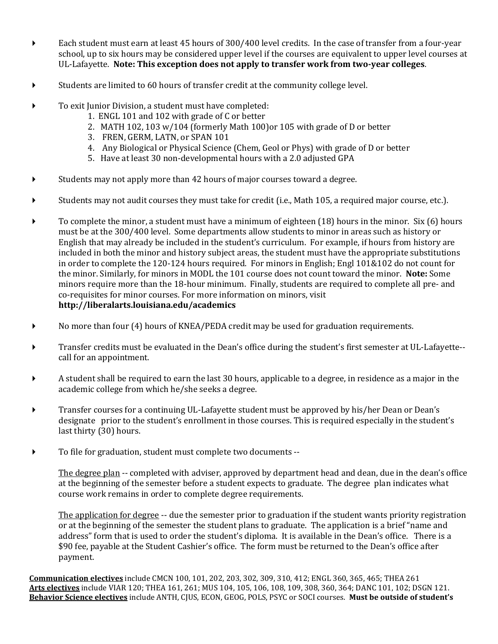- Each student must earn at least 45 hours of 300/400 level credits. In the case of transfer from a four-year school, up to six hours may be considered upper level if the courses are equivalent to upper level courses at UL-Lafayette. **Note: This exception does not apply to transfer work from two-year colleges**.
- Students are limited to 60 hours of transfer credit at the community college level.
- To exit Junior Division, a student must have completed:
	- 1. ENGL 101 and 102 with grade of C or better
	- 2. MATH 102, 103 w/104 (formerly Math 100)or 105 with grade of D or better
	- 3. FREN, GERM, LATN, or SPAN 101
	- 4. Any Biological or Physical Science (Chem, Geol or Phys) with grade of D or better
	- 5. Have at least 30 non-developmental hours with a 2.0 adjusted GPA
- $\blacktriangleright$  Students may not apply more than 42 hours of major courses toward a degree.
- Students may not audit courses they must take for credit (i.e., Math 105, a required major course, etc.).
- $\triangleright$  To complete the minor, a student must have a minimum of eighteen (18) hours in the minor. Six (6) hours must be at the 300/400 level. Some departments allow students to minor in areas such as history or English that may already be included in the student's curriculum. For example, if hours from history are included in both the minor and history subject areas, the student must have the appropriate substitutions in order to complete the 120-124 hours required. For minors in English; Engl 101&102 do not count for the minor. Similarly, for minors in MODL the 101 course does not count toward the minor. **Note:** Some minors require more than the 18-hour minimum. Finally, students are required to complete all pre- and co-requisites for minor courses. For more information on minors, visit **http://liberalarts.louisiana.edu/academics**
- No more than four (4) hours of KNEA/PEDA credit may be used for graduation requirements.
- Transfer credits must be evaluated in the Dean's office during the student's first semester at UL-Lafayette- call for an appointment.
- A student shall be required to earn the last 30 hours, applicable to a degree, in residence as a major in the academic college from which he/she seeks a degree.
- Transfer courses for a continuing UL-Lafayette student must be approved by his/her Dean or Dean's designate prior to the student's enrollment in those courses. This is required especially in the student's last thirty (30) hours.
- To file for graduation, student must complete two documents --

The degree plan -- completed with adviser, approved by department head and dean, due in the dean's office at the beginning of the semester before a student expects to graduate. The degree plan indicates what course work remains in order to complete degree requirements.

The application for degree -- due the semester prior to graduation if the student wants priority registration or at the beginning of the semester the student plans to graduate. The application is a brief "name and address" form that is used to order the student's diploma. It is available in the Dean's office. There is a \$90 fee, payable at the Student Cashier's office. The form must be returned to the Dean's office after payment.

**Communication electives** include CMCN 100, 101, 202, 203, 302, 309, 310, 412; ENGL 360, 365, 465; THEA 261 **Arts electives** include VIAR 120; THEA 161, 261; MUS 104, 105, 106, 108, 109, 308, 360, 364; DANC 101, 102; DSGN 121. **Behavior Science electives** include ANTH, CJUS, ECON, GEOG, POLS, PSYC or SOCI courses. **Must be outside of student's**